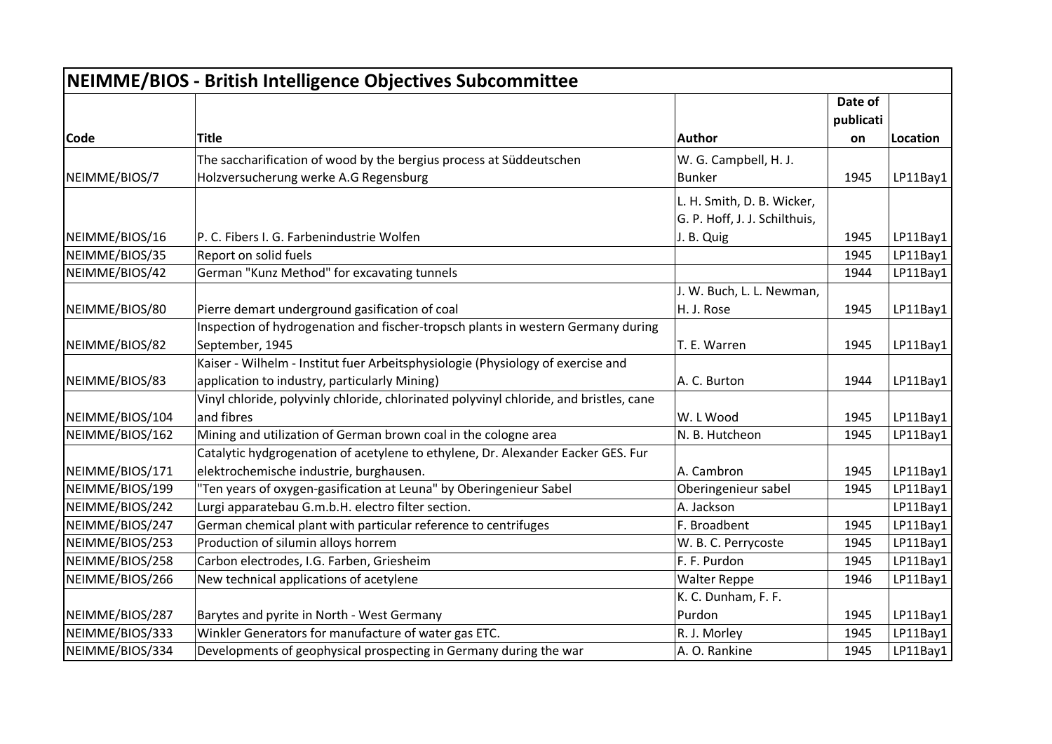|                 | NEIMME/BIOS - British Intelligence Objectives Subcommittee                                          |                                                             |                      |          |
|-----------------|-----------------------------------------------------------------------------------------------------|-------------------------------------------------------------|----------------------|----------|
|                 |                                                                                                     |                                                             | Date of<br>publicati |          |
| <b>Code</b>     | <b>Title</b>                                                                                        | <b>Author</b>                                               | on                   | Location |
|                 | The saccharification of wood by the bergius process at Süddeutschen                                 | W. G. Campbell, H. J.                                       |                      |          |
| NEIMME/BIOS/7   | Holzversucherung werke A.G Regensburg                                                               | <b>Bunker</b>                                               | 1945                 | LP11Bay1 |
|                 |                                                                                                     | L. H. Smith, D. B. Wicker,<br>G. P. Hoff, J. J. Schilthuis, |                      |          |
| NEIMME/BIOS/16  | P. C. Fibers I. G. Farbenindustrie Wolfen                                                           | J. B. Quig                                                  | 1945                 | LP11Bay1 |
| NEIMME/BIOS/35  | Report on solid fuels                                                                               |                                                             | 1945                 | LP11Bay1 |
| NEIMME/BIOS/42  | German "Kunz Method" for excavating tunnels                                                         |                                                             | 1944                 | LP11Bay1 |
|                 |                                                                                                     | J. W. Buch, L. L. Newman,                                   |                      |          |
| NEIMME/BIOS/80  | Pierre demart underground gasification of coal                                                      | H. J. Rose                                                  | 1945                 | LP11Bay1 |
| NEIMME/BIOS/82  | Inspection of hydrogenation and fischer-tropsch plants in western Germany during<br>September, 1945 | T. E. Warren                                                | 1945                 | LP11Bay1 |
|                 | Kaiser - Wilhelm - Institut fuer Arbeitsphysiologie (Physiology of exercise and                     |                                                             |                      |          |
| NEIMME/BIOS/83  | application to industry, particularly Mining)                                                       | A. C. Burton                                                | 1944                 | LP11Bay1 |
|                 | Vinyl chloride, polyvinly chloride, chlorinated polyvinyl chloride, and bristles, cane              |                                                             |                      |          |
| NEIMME/BIOS/104 | and fibres                                                                                          | W. L Wood                                                   | 1945                 | LP11Bay1 |
| NEIMME/BIOS/162 | Mining and utilization of German brown coal in the cologne area                                     | N. B. Hutcheon                                              | 1945                 | LP11Bay1 |
|                 | Catalytic hydgrogenation of acetylene to ethylene, Dr. Alexander Eacker GES. Fur                    |                                                             |                      |          |
| NEIMME/BIOS/171 | elektrochemische industrie, burghausen.                                                             | A. Cambron                                                  | 1945                 | LP11Bay1 |
| NEIMME/BIOS/199 | "Ten years of oxygen-gasification at Leuna" by Oberingenieur Sabel                                  | Oberingenieur sabel                                         | 1945                 | LP11Bay1 |
| NEIMME/BIOS/242 | Lurgi apparatebau G.m.b.H. electro filter section.                                                  | A. Jackson                                                  |                      | LP11Bay1 |
| NEIMME/BIOS/247 | German chemical plant with particular reference to centrifuges                                      | F. Broadbent                                                | 1945                 | LP11Bay1 |
| NEIMME/BIOS/253 | Production of silumin alloys horrem                                                                 | W. B. C. Perrycoste                                         | 1945                 | LP11Bay1 |
| NEIMME/BIOS/258 | Carbon electrodes, I.G. Farben, Griesheim                                                           | F. F. Purdon                                                | 1945                 | LP11Bay1 |
| NEIMME/BIOS/266 | New technical applications of acetylene                                                             | <b>Walter Reppe</b>                                         | 1946                 | LP11Bay1 |
|                 |                                                                                                     | K. C. Dunham, F. F.                                         |                      |          |
| NEIMME/BIOS/287 | Barytes and pyrite in North - West Germany                                                          | Purdon                                                      | 1945                 | LP11Bay1 |
| NEIMME/BIOS/333 | Winkler Generators for manufacture of water gas ETC.                                                | R. J. Morley                                                | 1945                 | LP11Bay1 |
| NEIMME/BIOS/334 | Developments of geophysical prospecting in Germany during the war                                   | A. O. Rankine                                               | 1945                 | LP11Bay1 |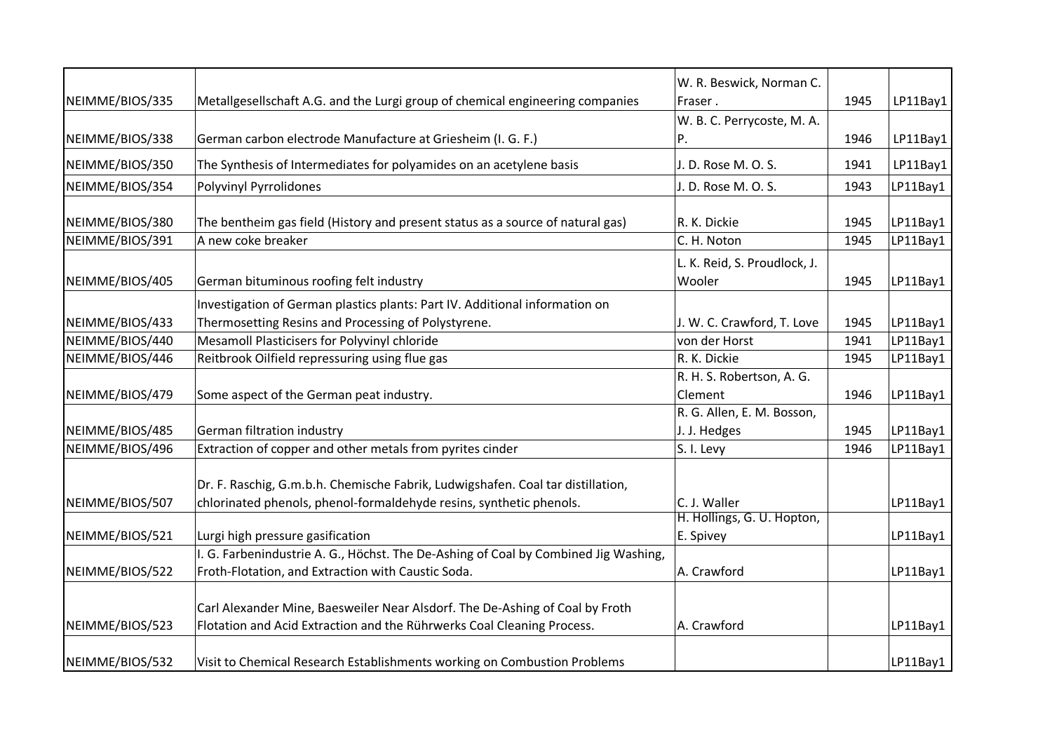|                 |                                                                                     | W. R. Beswick, Norman C.     |      |          |
|-----------------|-------------------------------------------------------------------------------------|------------------------------|------|----------|
| NEIMME/BIOS/335 | Metallgesellschaft A.G. and the Lurgi group of chemical engineering companies       | Fraser.                      | 1945 | LP11Bay1 |
|                 |                                                                                     | W. B. C. Perrycoste, M. A.   |      |          |
| NEIMME/BIOS/338 | German carbon electrode Manufacture at Griesheim (I. G. F.)                         | Ρ.                           | 1946 | LP11Bay1 |
| NEIMME/BIOS/350 | The Synthesis of Intermediates for polyamides on an acetylene basis                 | J. D. Rose M. O. S.          | 1941 | LP11Bay1 |
| NEIMME/BIOS/354 | <b>Polyvinyl Pyrrolidones</b>                                                       | J. D. Rose M. O. S.          | 1943 | LP11Bay1 |
|                 |                                                                                     |                              |      |          |
| NEIMME/BIOS/380 | The bentheim gas field (History and present status as a source of natural gas)      | R. K. Dickie                 | 1945 | LP11Bay1 |
| NEIMME/BIOS/391 | A new coke breaker                                                                  | C. H. Noton                  | 1945 | LP11Bay1 |
|                 |                                                                                     | L. K. Reid, S. Proudlock, J. |      |          |
| NEIMME/BIOS/405 | German bituminous roofing felt industry                                             | Wooler                       | 1945 | LP11Bay1 |
|                 | Investigation of German plastics plants: Part IV. Additional information on         |                              |      |          |
| NEIMME/BIOS/433 | Thermosetting Resins and Processing of Polystyrene.                                 | J. W. C. Crawford, T. Love   | 1945 | LP11Bay1 |
| NEIMME/BIOS/440 | Mesamoll Plasticisers for Polyvinyl chloride                                        | von der Horst                | 1941 | LP11Bay1 |
| NEIMME/BIOS/446 | Reitbrook Oilfield repressuring using flue gas                                      | R. K. Dickie                 | 1945 | LP11Bay1 |
|                 |                                                                                     | R. H. S. Robertson, A. G.    |      |          |
| NEIMME/BIOS/479 | Some aspect of the German peat industry.                                            | Clement                      | 1946 | LP11Bay1 |
|                 |                                                                                     | R. G. Allen, E. M. Bosson,   |      |          |
| NEIMME/BIOS/485 | German filtration industry                                                          | J. J. Hedges                 | 1945 | LP11Bay1 |
| NEIMME/BIOS/496 | Extraction of copper and other metals from pyrites cinder                           | S. I. Levy                   | 1946 | LP11Bay1 |
|                 | Dr. F. Raschig, G.m.b.h. Chemische Fabrik, Ludwigshafen. Coal tar distillation,     |                              |      |          |
| NEIMME/BIOS/507 | chlorinated phenols, phenol-formaldehyde resins, synthetic phenols.                 | C. J. Waller                 |      | LP11Bay1 |
|                 |                                                                                     | H. Hollings, G. U. Hopton,   |      |          |
| NEIMME/BIOS/521 | Lurgi high pressure gasification                                                    | E. Spivey                    |      | LP11Bay1 |
|                 | I. G. Farbenindustrie A. G., Höchst. The De-Ashing of Coal by Combined Jig Washing, |                              |      |          |
| NEIMME/BIOS/522 | Froth-Flotation, and Extraction with Caustic Soda.                                  | A. Crawford                  |      | LP11Bay1 |
|                 | Carl Alexander Mine, Baesweiler Near Alsdorf. The De-Ashing of Coal by Froth        |                              |      |          |
| NEIMME/BIOS/523 | Flotation and Acid Extraction and the Rührwerks Coal Cleaning Process.              | A. Crawford                  |      | LP11Bay1 |
|                 |                                                                                     |                              |      |          |
| NEIMME/BIOS/532 | Visit to Chemical Research Establishments working on Combustion Problems            |                              |      | LP11Bay1 |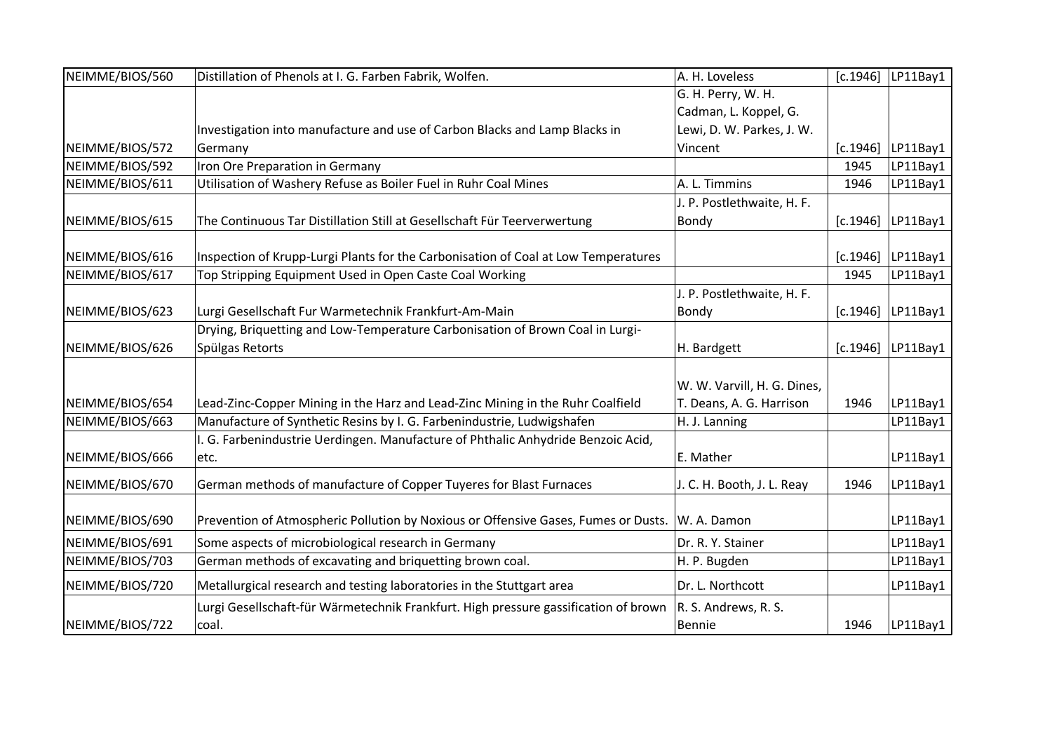| NEIMME/BIOS/560 | Distillation of Phenols at I. G. Farben Fabrik, Wolfen.                             | A. H. Loveless              | [c.1946] | LP11Bay1 |
|-----------------|-------------------------------------------------------------------------------------|-----------------------------|----------|----------|
|                 |                                                                                     | G. H. Perry, W. H.          |          |          |
|                 |                                                                                     | Cadman, L. Koppel, G.       |          |          |
|                 | Investigation into manufacture and use of Carbon Blacks and Lamp Blacks in          | Lewi, D. W. Parkes, J. W.   |          |          |
| NEIMME/BIOS/572 | Germany                                                                             | Vincent                     | [c.1946] | LP11Bay1 |
| NEIMME/BIOS/592 | Iron Ore Preparation in Germany                                                     |                             | 1945     | LP11Bay1 |
| NEIMME/BIOS/611 | Utilisation of Washery Refuse as Boiler Fuel in Ruhr Coal Mines                     | A. L. Timmins               | 1946     | LP11Bay1 |
|                 |                                                                                     | J. P. Postlethwaite, H. F.  |          |          |
| NEIMME/BIOS/615 | The Continuous Tar Distillation Still at Gesellschaft Für Teerverwertung            | Bondy                       | [c.1946] | LP11Bay1 |
| NEIMME/BIOS/616 | Inspection of Krupp-Lurgi Plants for the Carbonisation of Coal at Low Temperatures  |                             | [c.1946] | LP11Bay1 |
| NEIMME/BIOS/617 | Top Stripping Equipment Used in Open Caste Coal Working                             |                             | 1945     | LP11Bay1 |
|                 |                                                                                     | J. P. Postlethwaite, H. F.  |          |          |
| NEIMME/BIOS/623 | Lurgi Gesellschaft Fur Warmetechnik Frankfurt-Am-Main                               | Bondy                       | [c.1946] | LP11Bay1 |
|                 | Drying, Briquetting and Low-Temperature Carbonisation of Brown Coal in Lurgi-       |                             |          |          |
| NEIMME/BIOS/626 | Spülgas Retorts                                                                     | H. Bardgett                 | [c.1946] | LP11Bay1 |
|                 |                                                                                     | W. W. Varvill, H. G. Dines, |          |          |
| NEIMME/BIOS/654 | Lead-Zinc-Copper Mining in the Harz and Lead-Zinc Mining in the Ruhr Coalfield      | T. Deans, A. G. Harrison    | 1946     | LP11Bay1 |
| NEIMME/BIOS/663 | Manufacture of Synthetic Resins by I. G. Farbenindustrie, Ludwigshafen              | H. J. Lanning               |          | LP11Bay1 |
|                 | I. G. Farbenindustrie Uerdingen. Manufacture of Phthalic Anhydride Benzoic Acid,    |                             |          |          |
| NEIMME/BIOS/666 | etc.                                                                                | E. Mather                   |          | LP11Bay1 |
| NEIMME/BIOS/670 | German methods of manufacture of Copper Tuyeres for Blast Furnaces                  | J. C. H. Booth, J. L. Reay  | 1946     | LP11Bay1 |
| NEIMME/BIOS/690 | Prevention of Atmospheric Pollution by Noxious or Offensive Gases, Fumes or Dusts.  | W. A. Damon                 |          | LP11Bay1 |
|                 |                                                                                     |                             |          |          |
| NEIMME/BIOS/691 | Some aspects of microbiological research in Germany                                 | Dr. R. Y. Stainer           |          | LP11Bay1 |
| NEIMME/BIOS/703 | German methods of excavating and briquetting brown coal.                            | H. P. Bugden                |          | LP11Bay1 |
| NEIMME/BIOS/720 | Metallurgical research and testing laboratories in the Stuttgart area               | Dr. L. Northcott            |          | LP11Bay1 |
|                 | Lurgi Gesellschaft-für Wärmetechnik Frankfurt. High pressure gassification of brown | R. S. Andrews, R. S.        |          |          |
| NEIMME/BIOS/722 | coal.                                                                               | Bennie                      | 1946     | LP11Bay1 |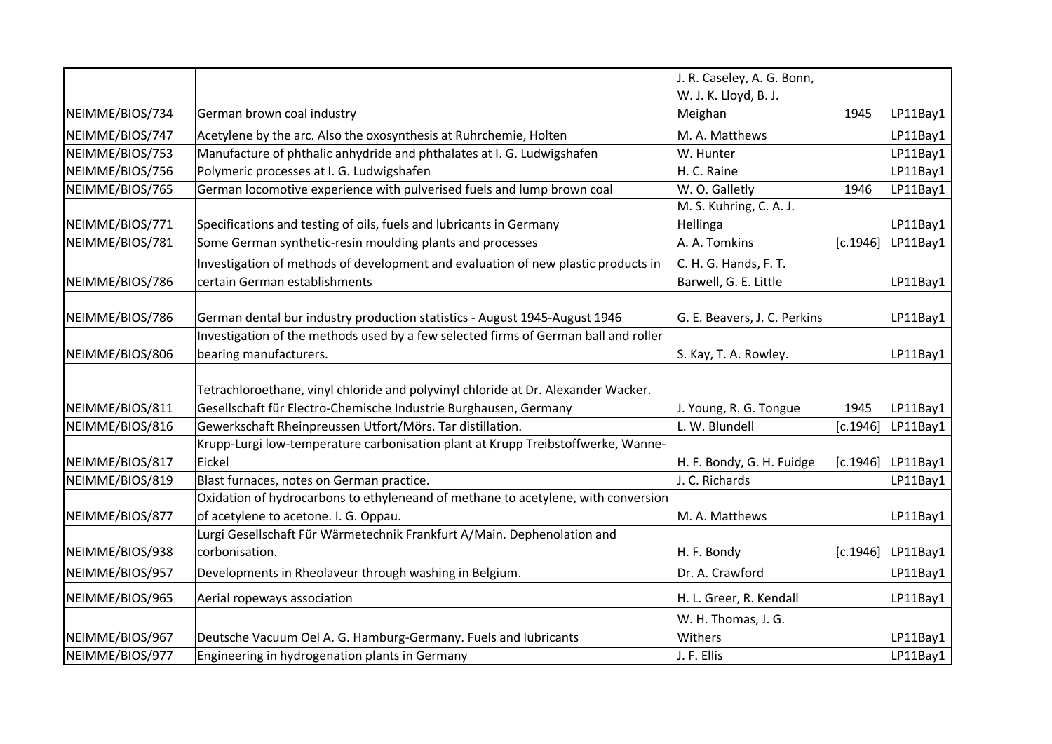|                 |                                                                                     | J. R. Caseley, A. G. Bonn,   |          |          |
|-----------------|-------------------------------------------------------------------------------------|------------------------------|----------|----------|
|                 |                                                                                     | W. J. K. Lloyd, B. J.        |          |          |
| NEIMME/BIOS/734 | German brown coal industry                                                          | Meighan                      | 1945     | LP11Bay1 |
| NEIMME/BIOS/747 | Acetylene by the arc. Also the oxosynthesis at Ruhrchemie, Holten                   | M. A. Matthews               |          | LP11Bay1 |
| NEIMME/BIOS/753 | Manufacture of phthalic anhydride and phthalates at I. G. Ludwigshafen              | W. Hunter                    |          | LP11Bay1 |
| NEIMME/BIOS/756 | Polymeric processes at I. G. Ludwigshafen                                           | H. C. Raine                  |          | LP11Bay1 |
| NEIMME/BIOS/765 | German locomotive experience with pulverised fuels and lump brown coal              | W. O. Galletly               | 1946     | LP11Bay1 |
|                 |                                                                                     | M. S. Kuhring, C. A. J.      |          |          |
| NEIMME/BIOS/771 | Specifications and testing of oils, fuels and lubricants in Germany                 | Hellinga                     |          | LP11Bay1 |
| NEIMME/BIOS/781 | Some German synthetic-resin moulding plants and processes                           | A. A. Tomkins                | [c.1946] | LP11Bay1 |
|                 | Investigation of methods of development and evaluation of new plastic products in   | C. H. G. Hands, F. T.        |          |          |
| NEIMME/BIOS/786 | certain German establishments                                                       | Barwell, G. E. Little        |          | LP11Bay1 |
|                 |                                                                                     |                              |          |          |
| NEIMME/BIOS/786 | German dental bur industry production statistics - August 1945-August 1946          | G. E. Beavers, J. C. Perkins |          | LP11Bay1 |
|                 | Investigation of the methods used by a few selected firms of German ball and roller |                              |          |          |
| NEIMME/BIOS/806 | bearing manufacturers.                                                              | S. Kay, T. A. Rowley.        |          | LP11Bay1 |
|                 |                                                                                     |                              |          |          |
|                 | Tetrachloroethane, vinyl chloride and polyvinyl chloride at Dr. Alexander Wacker.   |                              |          |          |
| NEIMME/BIOS/811 | Gesellschaft für Electro-Chemische Industrie Burghausen, Germany                    | J. Young, R. G. Tongue       | 1945     | LP11Bay1 |
| NEIMME/BIOS/816 | Gewerkschaft Rheinpreussen Utfort/Mörs. Tar distillation.                           | L. W. Blundell               | [c.1946] | LP11Bay1 |
|                 | Krupp-Lurgi low-temperature carbonisation plant at Krupp Treibstoffwerke, Wanne-    |                              |          |          |
| NEIMME/BIOS/817 | Eickel                                                                              | H. F. Bondy, G. H. Fuidge    | [c.1946] | LP11Bay1 |
| NEIMME/BIOS/819 | Blast furnaces, notes on German practice.                                           | J. C. Richards               |          | LP11Bay1 |
|                 | Oxidation of hydrocarbons to ethyleneand of methane to acetylene, with conversion   |                              |          |          |
| NEIMME/BIOS/877 | of acetylene to acetone. I. G. Oppau.                                               | M. A. Matthews               |          | LP11Bay1 |
|                 | Lurgi Gesellschaft Für Wärmetechnik Frankfurt A/Main. Dephenolation and             |                              |          |          |
| NEIMME/BIOS/938 | corbonisation.                                                                      | H. F. Bondy                  | [c.1946] | LP11Bay1 |
| NEIMME/BIOS/957 | Developments in Rheolaveur through washing in Belgium.                              | Dr. A. Crawford              |          | LP11Bay1 |
| NEIMME/BIOS/965 | Aerial ropeways association                                                         | H. L. Greer, R. Kendall      |          | LP11Bay1 |
|                 |                                                                                     | W. H. Thomas, J. G.          |          |          |
| NEIMME/BIOS/967 | Deutsche Vacuum Oel A. G. Hamburg-Germany. Fuels and lubricants                     | Withers                      |          | LP11Bay1 |
| NEIMME/BIOS/977 | Engineering in hydrogenation plants in Germany                                      | J. F. Ellis                  |          | LP11Bay1 |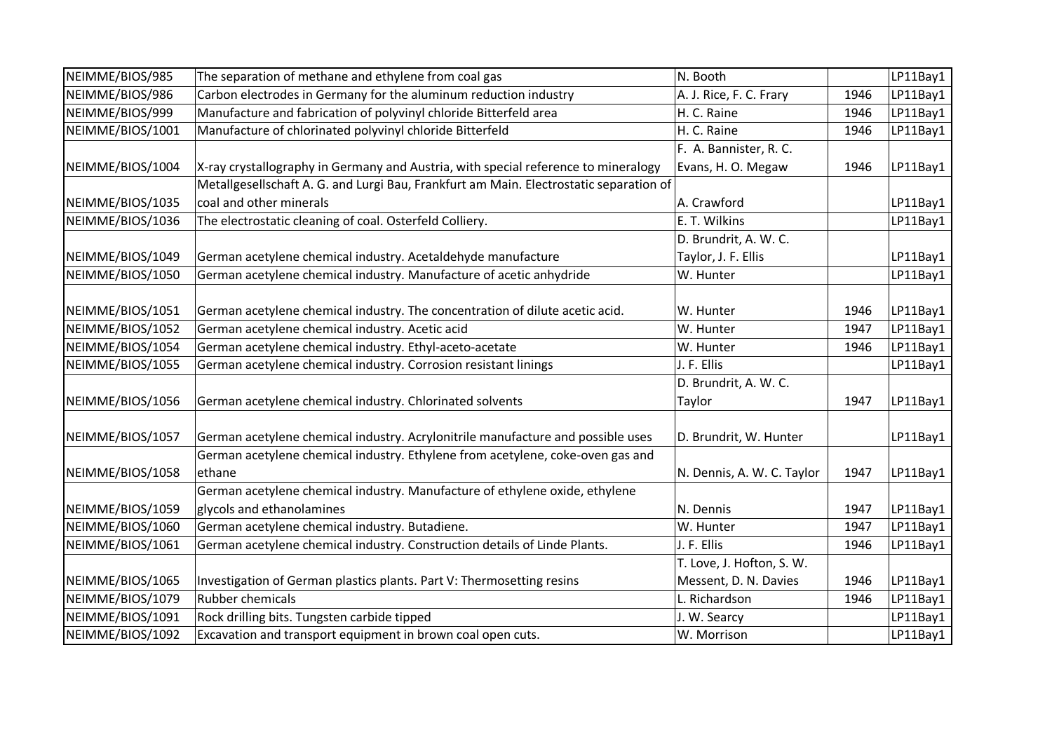| NEIMME/BIOS/985  | The separation of methane and ethylene from coal gas                                   | N. Booth                   |      | LP11Bay1 |
|------------------|----------------------------------------------------------------------------------------|----------------------------|------|----------|
| NEIMME/BIOS/986  | Carbon electrodes in Germany for the aluminum reduction industry                       | A. J. Rice, F. C. Frary    | 1946 | LP11Bay1 |
| NEIMME/BIOS/999  | Manufacture and fabrication of polyvinyl chloride Bitterfeld area                      | H. C. Raine                | 1946 | LP11Bay1 |
| NEIMME/BIOS/1001 | Manufacture of chlorinated polyvinyl chloride Bitterfeld                               | H. C. Raine                | 1946 | LP11Bay1 |
|                  |                                                                                        | F. A. Bannister, R. C.     |      |          |
| NEIMME/BIOS/1004 | X-ray crystallography in Germany and Austria, with special reference to mineralogy     | Evans, H. O. Megaw         | 1946 | LP11Bay1 |
|                  | Metallgesellschaft A. G. and Lurgi Bau, Frankfurt am Main. Electrostatic separation of |                            |      |          |
| NEIMME/BIOS/1035 | coal and other minerals                                                                | A. Crawford                |      | LP11Bay1 |
| NEIMME/BIOS/1036 | The electrostatic cleaning of coal. Osterfeld Colliery.                                | E. T. Wilkins              |      | LP11Bay1 |
|                  |                                                                                        | D. Brundrit, A. W. C.      |      |          |
| NEIMME/BIOS/1049 | German acetylene chemical industry. Acetaldehyde manufacture                           | Taylor, J. F. Ellis        |      | LP11Bay1 |
| NEIMME/BIOS/1050 | German acetylene chemical industry. Manufacture of acetic anhydride                    | W. Hunter                  |      | LP11Bay1 |
|                  |                                                                                        |                            |      |          |
| NEIMME/BIOS/1051 | German acetylene chemical industry. The concentration of dilute acetic acid.           | W. Hunter                  | 1946 | LP11Bay1 |
| NEIMME/BIOS/1052 | German acetylene chemical industry. Acetic acid                                        | W. Hunter                  | 1947 | LP11Bay1 |
| NEIMME/BIOS/1054 | German acetylene chemical industry. Ethyl-aceto-acetate                                | W. Hunter                  | 1946 | LP11Bay1 |
| NEIMME/BIOS/1055 | German acetylene chemical industry. Corrosion resistant linings                        | J. F. Ellis                |      | LP11Bay1 |
|                  |                                                                                        | D. Brundrit, A. W. C.      |      |          |
| NEIMME/BIOS/1056 | German acetylene chemical industry. Chlorinated solvents                               | Taylor                     | 1947 | LP11Bay1 |
|                  |                                                                                        |                            |      |          |
| NEIMME/BIOS/1057 | German acetylene chemical industry. Acrylonitrile manufacture and possible uses        | D. Brundrit, W. Hunter     |      | LP11Bay1 |
|                  | German acetylene chemical industry. Ethylene from acetylene, coke-oven gas and         |                            |      |          |
| NEIMME/BIOS/1058 | ethane                                                                                 | N. Dennis, A. W. C. Taylor | 1947 | LP11Bay1 |
|                  | German acetylene chemical industry. Manufacture of ethylene oxide, ethylene            |                            |      |          |
| NEIMME/BIOS/1059 | glycols and ethanolamines                                                              | N. Dennis                  | 1947 | LP11Bay1 |
| NEIMME/BIOS/1060 | German acetylene chemical industry. Butadiene.                                         | W. Hunter                  | 1947 | LP11Bay1 |
| NEIMME/BIOS/1061 | German acetylene chemical industry. Construction details of Linde Plants.              | J. F. Ellis                | 1946 | LP11Bay1 |
|                  |                                                                                        | T. Love, J. Hofton, S. W.  |      |          |
| NEIMME/BIOS/1065 | Investigation of German plastics plants. Part V: Thermosetting resins                  | Messent, D. N. Davies      | 1946 | LP11Bay1 |
| NEIMME/BIOS/1079 | <b>Rubber chemicals</b>                                                                | L. Richardson              | 1946 | LP11Bay1 |
| NEIMME/BIOS/1091 | Rock drilling bits. Tungsten carbide tipped                                            | J. W. Searcy               |      | LP11Bay1 |
| NEIMME/BIOS/1092 | Excavation and transport equipment in brown coal open cuts.                            | W. Morrison                |      | LP11Bay1 |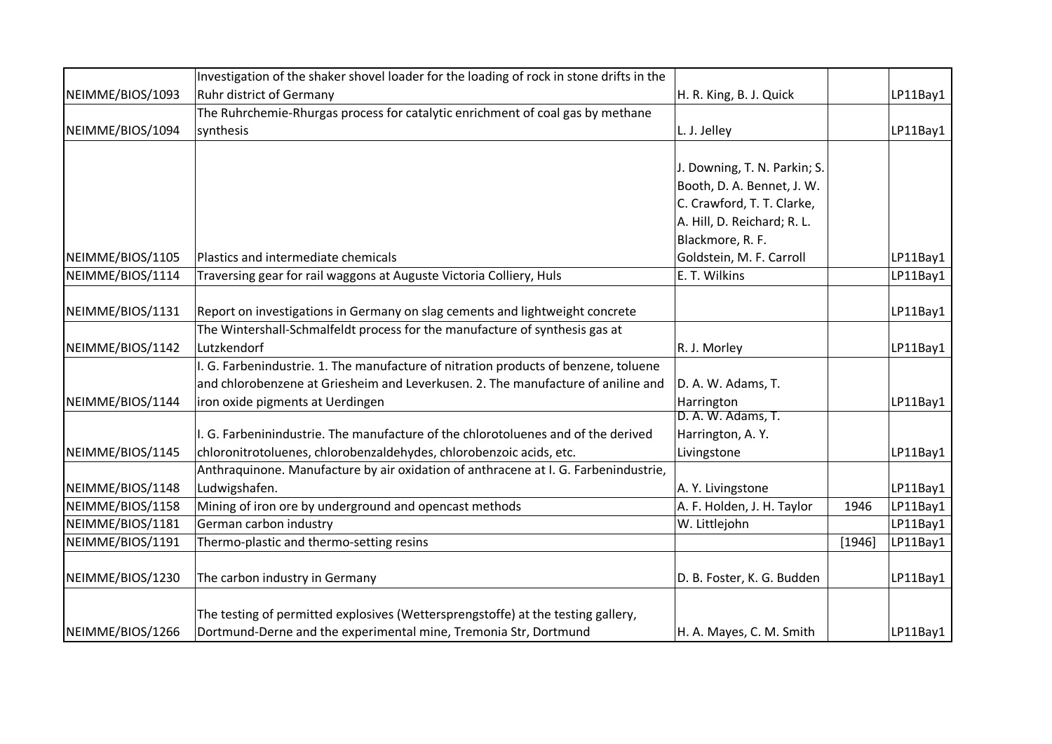|                  | Investigation of the shaker shovel loader for the loading of rock in stone drifts in the |                              |        |          |
|------------------|------------------------------------------------------------------------------------------|------------------------------|--------|----------|
| NEIMME/BIOS/1093 | <b>Ruhr district of Germany</b>                                                          | H. R. King, B. J. Quick      |        | LP11Bay1 |
|                  | The Ruhrchemie-Rhurgas process for catalytic enrichment of coal gas by methane           |                              |        |          |
| NEIMME/BIOS/1094 | synthesis                                                                                | L. J. Jelley                 |        | LP11Bay1 |
|                  |                                                                                          |                              |        |          |
|                  |                                                                                          | J. Downing, T. N. Parkin; S. |        |          |
|                  |                                                                                          | Booth, D. A. Bennet, J. W.   |        |          |
|                  |                                                                                          | C. Crawford, T. T. Clarke,   |        |          |
|                  |                                                                                          | A. Hill, D. Reichard; R. L.  |        |          |
|                  |                                                                                          | Blackmore, R. F.             |        |          |
| NEIMME/BIOS/1105 | Plastics and intermediate chemicals                                                      | Goldstein, M. F. Carroll     |        | LP11Bay1 |
| NEIMME/BIOS/1114 | Traversing gear for rail waggons at Auguste Victoria Colliery, Huls                      | E. T. Wilkins                |        | LP11Bay1 |
|                  |                                                                                          |                              |        |          |
| NEIMME/BIOS/1131 | Report on investigations in Germany on slag cements and lightweight concrete             |                              |        | LP11Bay1 |
|                  | The Wintershall-Schmalfeldt process for the manufacture of synthesis gas at              |                              |        |          |
| NEIMME/BIOS/1142 | Lutzkendorf                                                                              | R. J. Morley                 |        | LP11Bay1 |
|                  | I. G. Farbenindustrie. 1. The manufacture of nitration products of benzene, toluene      |                              |        |          |
|                  | and chlorobenzene at Griesheim and Leverkusen. 2. The manufacture of aniline and         | D. A. W. Adams, T.           |        |          |
| NEIMME/BIOS/1144 | iron oxide pigments at Uerdingen                                                         | Harrington                   |        | LP11Bay1 |
|                  |                                                                                          | D. A. W. Adams, T.           |        |          |
|                  | I. G. Farbeninindustrie. The manufacture of the chlorotoluenes and of the derived        | Harrington, A.Y.             |        |          |
| NEIMME/BIOS/1145 | chloronitrotoluenes, chlorobenzaldehydes, chlorobenzoic acids, etc.                      | Livingstone                  |        | LP11Bay1 |
|                  | Anthraquinone. Manufacture by air oxidation of anthracene at I. G. Farbenindustrie,      |                              |        |          |
| NEIMME/BIOS/1148 | Ludwigshafen.                                                                            | A. Y. Livingstone            |        | LP11Bay1 |
| NEIMME/BIOS/1158 | Mining of iron ore by underground and opencast methods                                   | A. F. Holden, J. H. Taylor   | 1946   | LP11Bay1 |
| NEIMME/BIOS/1181 | German carbon industry                                                                   | W. Littlejohn                |        | LP11Bay1 |
| NEIMME/BIOS/1191 | Thermo-plastic and thermo-setting resins                                                 |                              | [1946] | LP11Bay1 |
|                  |                                                                                          |                              |        |          |
| NEIMME/BIOS/1230 | The carbon industry in Germany                                                           | D. B. Foster, K. G. Budden   |        | LP11Bay1 |
|                  | The testing of permitted explosives (Wettersprengstoffe) at the testing gallery,         |                              |        |          |
| NEIMME/BIOS/1266 | Dortmund-Derne and the experimental mine, Tremonia Str, Dortmund                         | H. A. Mayes, C. M. Smith     |        | LP11Bay1 |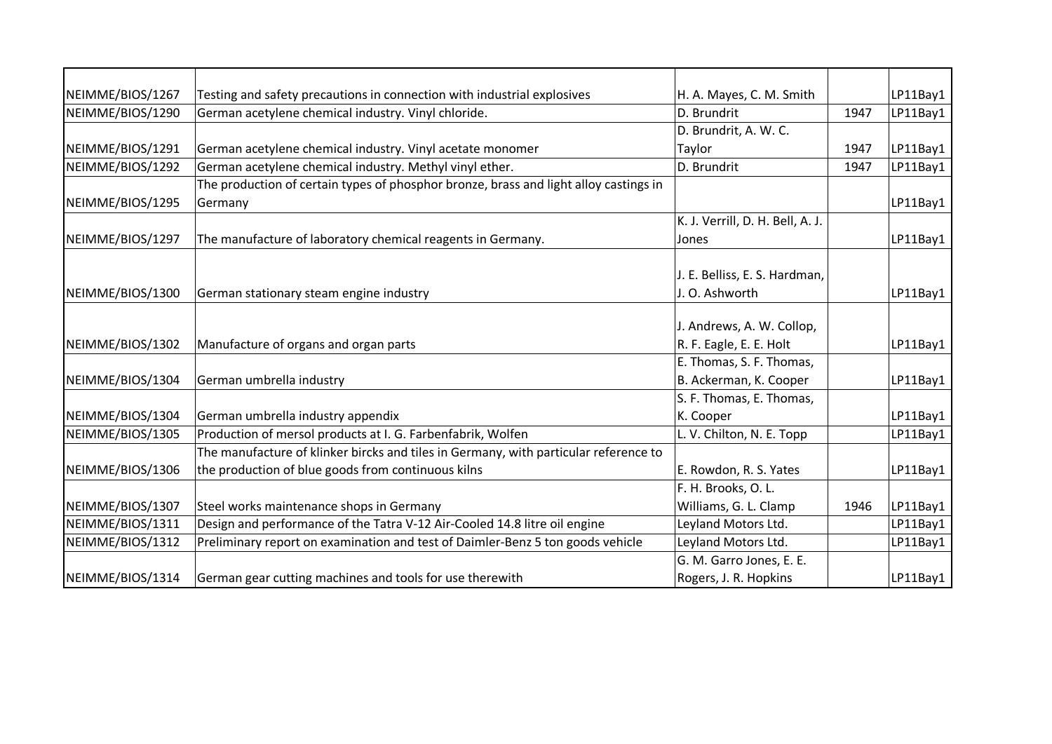| NEIMME/BIOS/1267 | Testing and safety precautions in connection with industrial explosives               | H. A. Mayes, C. M. Smith         |      | LP11Bay1 |
|------------------|---------------------------------------------------------------------------------------|----------------------------------|------|----------|
| NEIMME/BIOS/1290 | German acetylene chemical industry. Vinyl chloride.                                   | D. Brundrit                      | 1947 | LP11Bay1 |
|                  |                                                                                       | D. Brundrit, A. W. C.            |      |          |
| NEIMME/BIOS/1291 | German acetylene chemical industry. Vinyl acetate monomer                             | Taylor                           | 1947 | LP11Bay1 |
| NEIMME/BIOS/1292 | German acetylene chemical industry. Methyl vinyl ether.                               | D. Brundrit                      | 1947 | LP11Bay1 |
|                  | The production of certain types of phosphor bronze, brass and light alloy castings in |                                  |      |          |
| NEIMME/BIOS/1295 | Germany                                                                               |                                  |      | LP11Bay1 |
|                  |                                                                                       | K. J. Verrill, D. H. Bell, A. J. |      |          |
| NEIMME/BIOS/1297 | The manufacture of laboratory chemical reagents in Germany.                           | Jones                            |      | LP11Bay1 |
|                  |                                                                                       |                                  |      |          |
|                  |                                                                                       | J. E. Belliss, E. S. Hardman,    |      |          |
| NEIMME/BIOS/1300 | German stationary steam engine industry                                               | J. O. Ashworth                   |      | LP11Bay1 |
|                  |                                                                                       | J. Andrews, A. W. Collop,        |      |          |
| NEIMME/BIOS/1302 | Manufacture of organs and organ parts                                                 | R. F. Eagle, E. E. Holt          |      | LP11Bay1 |
|                  |                                                                                       | E. Thomas, S. F. Thomas,         |      |          |
| NEIMME/BIOS/1304 | German umbrella industry                                                              | B. Ackerman, K. Cooper           |      | LP11Bay1 |
|                  |                                                                                       | S. F. Thomas, E. Thomas,         |      |          |
| NEIMME/BIOS/1304 | German umbrella industry appendix                                                     | K. Cooper                        |      | LP11Bay1 |
| NEIMME/BIOS/1305 | Production of mersol products at I. G. Farbenfabrik, Wolfen                           | L. V. Chilton, N. E. Topp        |      | LP11Bay1 |
|                  | The manufacture of klinker bircks and tiles in Germany, with particular reference to  |                                  |      |          |
| NEIMME/BIOS/1306 | the production of blue goods from continuous kilns                                    | E. Rowdon, R. S. Yates           |      | LP11Bay1 |
|                  |                                                                                       | F. H. Brooks, O. L.              |      |          |
| NEIMME/BIOS/1307 | Steel works maintenance shops in Germany                                              | Williams, G. L. Clamp            | 1946 | LP11Bay1 |
| NEIMME/BIOS/1311 | Design and performance of the Tatra V-12 Air-Cooled 14.8 litre oil engine             | Leyland Motors Ltd.              |      | LP11Bay1 |
| NEIMME/BIOS/1312 | Preliminary report on examination and test of Daimler-Benz 5 ton goods vehicle        | Leyland Motors Ltd.              |      | LP11Bay1 |
|                  |                                                                                       | G. M. Garro Jones, E. E.         |      |          |
| NEIMME/BIOS/1314 | German gear cutting machines and tools for use therewith                              | Rogers, J. R. Hopkins            |      | LP11Bay1 |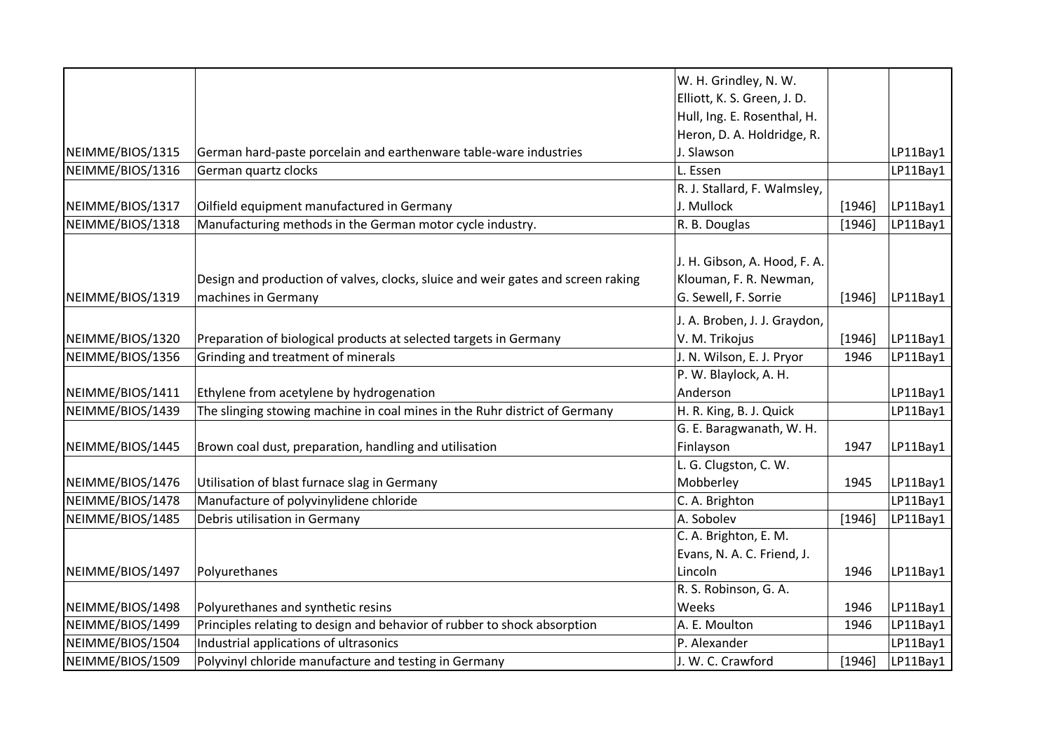|                  |                                                                                  | W. H. Grindley, N. W.        |        |          |
|------------------|----------------------------------------------------------------------------------|------------------------------|--------|----------|
|                  |                                                                                  | Elliott, K. S. Green, J. D.  |        |          |
|                  |                                                                                  | Hull, Ing. E. Rosenthal, H.  |        |          |
|                  |                                                                                  | Heron, D. A. Holdridge, R.   |        |          |
| NEIMME/BIOS/1315 | German hard-paste porcelain and earthenware table-ware industries                | J. Slawson                   |        | LP11Bay1 |
| NEIMME/BIOS/1316 | German quartz clocks                                                             | L. Essen                     |        | LP11Bay1 |
|                  |                                                                                  | R. J. Stallard, F. Walmsley, |        |          |
| NEIMME/BIOS/1317 | Oilfield equipment manufactured in Germany                                       | J. Mullock                   | [1946] | LP11Bay1 |
| NEIMME/BIOS/1318 | Manufacturing methods in the German motor cycle industry.                        | R. B. Douglas                | [1946] | LP11Bay1 |
|                  |                                                                                  | J. H. Gibson, A. Hood, F. A. |        |          |
|                  | Design and production of valves, clocks, sluice and weir gates and screen raking | Klouman, F. R. Newman,       |        |          |
| NEIMME/BIOS/1319 | machines in Germany                                                              | G. Sewell, F. Sorrie         | [1946] | LP11Bay1 |
|                  |                                                                                  |                              |        |          |
|                  |                                                                                  | J. A. Broben, J. J. Graydon, |        |          |
| NEIMME/BIOS/1320 | Preparation of biological products at selected targets in Germany                | V. M. Trikojus               | [1946] | LP11Bay1 |
| NEIMME/BIOS/1356 | Grinding and treatment of minerals                                               | J. N. Wilson, E. J. Pryor    | 1946   | LP11Bay1 |
|                  |                                                                                  | P. W. Blaylock, A. H.        |        |          |
| NEIMME/BIOS/1411 | Ethylene from acetylene by hydrogenation                                         | Anderson                     |        | LP11Bay1 |
| NEIMME/BIOS/1439 | The slinging stowing machine in coal mines in the Ruhr district of Germany       | H. R. King, B. J. Quick      |        | LP11Bay1 |
|                  |                                                                                  | G. E. Baragwanath, W. H.     |        |          |
| NEIMME/BIOS/1445 | Brown coal dust, preparation, handling and utilisation                           | Finlayson                    | 1947   | LP11Bay1 |
|                  |                                                                                  | L. G. Clugston, C. W.        |        |          |
| NEIMME/BIOS/1476 | Utilisation of blast furnace slag in Germany                                     | Mobberley                    | 1945   | LP11Bay1 |
| NEIMME/BIOS/1478 | Manufacture of polyvinylidene chloride                                           | C. A. Brighton               |        | LP11Bay1 |
| NEIMME/BIOS/1485 | Debris utilisation in Germany                                                    | A. Sobolev                   | [1946] | LP11Bay1 |
|                  |                                                                                  | C. A. Brighton, E. M.        |        |          |
|                  |                                                                                  | Evans, N. A. C. Friend, J.   |        |          |
| NEIMME/BIOS/1497 | Polyurethanes                                                                    | Lincoln                      | 1946   | LP11Bay1 |
|                  |                                                                                  | R. S. Robinson, G. A.        |        |          |
| NEIMME/BIOS/1498 | Polyurethanes and synthetic resins                                               | Weeks                        | 1946   | LP11Bay1 |
| NEIMME/BIOS/1499 | Principles relating to design and behavior of rubber to shock absorption         | A. E. Moulton                | 1946   | LP11Bay1 |
| NEIMME/BIOS/1504 | Industrial applications of ultrasonics                                           | P. Alexander                 |        | LP11Bay1 |
| NEIMME/BIOS/1509 | Polyvinyl chloride manufacture and testing in Germany                            | J. W. C. Crawford            | [1946] | LP11Bay1 |